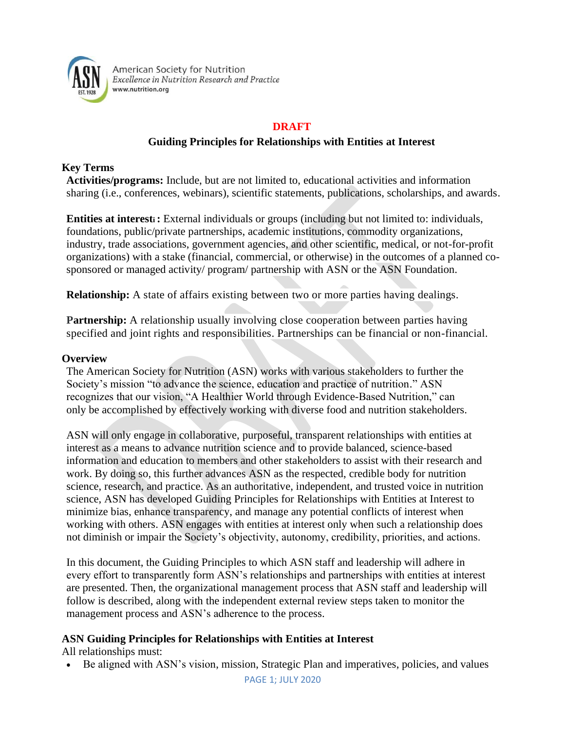

American Society for Nutrition Excellence in Nutrition Research and Practice www.nutrition.org

## **DRAFT**

# **Guiding Principles for Relationships with Entities at Interest**

#### **Key Terms**

**Activities/programs:** Include, but are not limited to, educational activities and information sharing (i.e., conferences, webinars), scientific statements, publications, scholarships, and awards.

**Entities at interesti:** External individuals or groups (including but not limited to: individuals, foundations, public/private partnerships, academic institutions, commodity organizations, industry, trade associations, government agencies, and other scientific, medical, or not-for-profit organizations) with a stake (financial, commercial, or otherwise) in the outcomes of a planned cosponsored or managed activity/ program/ partnership with ASN or the ASN Foundation.

**Relationship:** A state of affairs existing between two or more parties having dealings.

**Partnership:** A relationship usually involving close cooperation between parties having specified and joint rights and responsibilities. Partnerships can be financial or non-financial.

#### **Overview**

The American Society for Nutrition (ASN) works with various stakeholders to further the Society's mission "to advance the science, education and practice of nutrition." ASN recognizes that our vision, "A Healthier World through Evidence-Based Nutrition," can only be accomplished by effectively working with diverse food and nutrition stakeholders.

ASN will only engage in collaborative, purposeful, transparent relationships with entities at interest as a means to advance nutrition science and to provide balanced, science-based information and education to members and other stakeholders to assist with their research and work. By doing so, this further advances ASN as the respected, credible body for nutrition science, research, and practice. As an authoritative, independent, and trusted voice in nutrition science, ASN has developed Guiding Principles for Relationships with Entities at Interest to minimize bias, enhance transparency, and manage any potential conflicts of interest when working with others. ASN engages with entities at interest only when such a relationship does not diminish or impair the Society's objectivity, autonomy, credibility, priorities, and actions.

In this document, the Guiding Principles to which ASN staff and leadership will adhere in every effort to transparently form ASN's relationships and partnerships with entities at interest are presented. Then, the organizational management process that ASN staff and leadership will follow is described, along with the independent external review steps taken to monitor the management process and ASN's adherence to the process.

### **ASN Guiding Principles for Relationships with Entities at Interest**

All relationships must:

• Be aligned with ASN's vision, mission, Strategic Plan and imperatives, policies, and values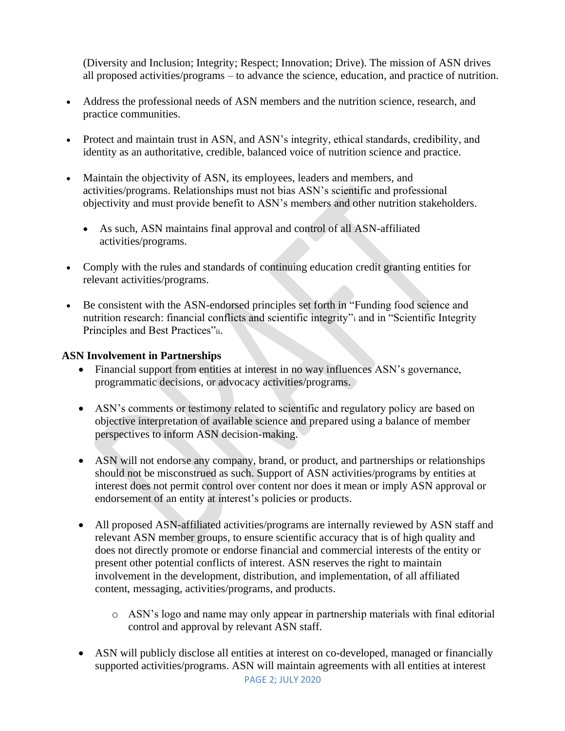(Diversity and Inclusion; Integrity; Respect; Innovation; Drive). The mission of ASN drives all proposed activities/programs – to advance the science, education, and practice of nutrition.

- Address the professional needs of ASN members and the nutrition science, research, and practice communities.
- Protect and maintain trust in ASN, and ASN's integrity, ethical standards, credibility, and identity as an authoritative, credible, balanced voice of nutrition science and practice.
- Maintain the objectivity of ASN, its employees, leaders and members, and activities/programs. Relationships must not bias ASN's scientific and professional objectivity and must provide benefit to ASN's members and other nutrition stakeholders.
	- As such, ASN maintains final approval and control of all ASN-affiliated activities/programs.
- Comply with the rules and standards of continuing education credit granting entities for relevant activities/programs.
- Be consistent with the ASN-endorsed principles set forth in "Funding food science and nutrition research: financial conflicts and scientific integrity"<sup>i</sup> and in "Scientific Integrity Principles and Best Practices"ii.

### **ASN Involvement in Partnerships**

- Financial support from entities at interest in no way influences ASN's governance, programmatic decisions, or advocacy activities/programs.
- ASN's comments or testimony related to scientific and regulatory policy are based on objective interpretation of available science and prepared using a balance of member perspectives to inform ASN decision-making.
- ASN will not endorse any company, brand, or product, and partnerships or relationships should not be misconstrued as such. Support of ASN activities/programs by entities at interest does not permit control over content nor does it mean or imply ASN approval or endorsement of an entity at interest's policies or products.
- All proposed ASN-affiliated activities/programs are internally reviewed by ASN staff and relevant ASN member groups, to ensure scientific accuracy that is of high quality and does not directly promote or endorse financial and commercial interests of the entity or present other potential conflicts of interest. ASN reserves the right to maintain involvement in the development, distribution, and implementation, of all affiliated content, messaging, activities/programs, and products.
	- o ASN's logo and name may only appear in partnership materials with final editorial control and approval by relevant ASN staff.
- ASN will publicly disclose all entities at interest on co-developed, managed or financially supported activities/programs. ASN will maintain agreements with all entities at interest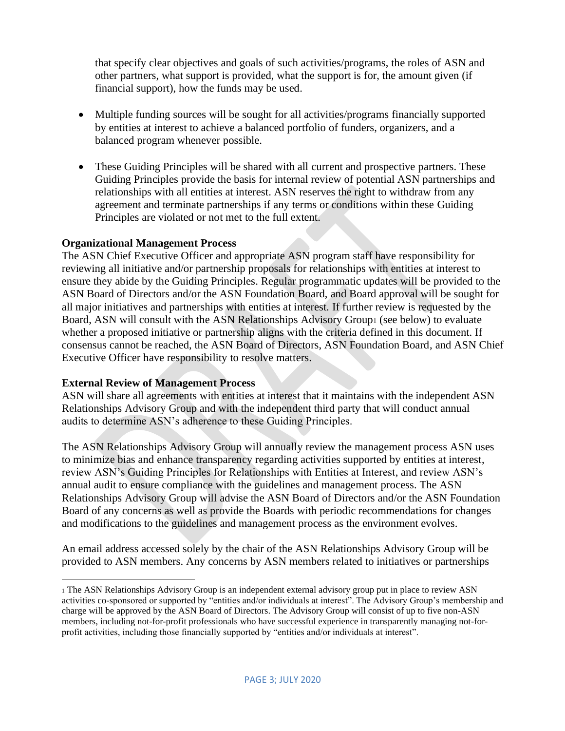that specify clear objectives and goals of such activities/programs, the roles of ASN and other partners, what support is provided, what the support is for, the amount given (if financial support), how the funds may be used.

- Multiple funding sources will be sought for all activities/programs financially supported by entities at interest to achieve a balanced portfolio of funders, organizers, and a balanced program whenever possible.
- These Guiding Principles will be shared with all current and prospective partners. These Guiding Principles provide the basis for internal review of potential ASN partnerships and relationships with all entities at interest. ASN reserves the right to withdraw from any agreement and terminate partnerships if any terms or conditions within these Guiding Principles are violated or not met to the full extent.

### **Organizational Management Process**

The ASN Chief Executive Officer and appropriate ASN program staff have responsibility for reviewing all initiative and/or partnership proposals for relationships with entities at interest to ensure they abide by the Guiding Principles. Regular programmatic updates will be provided to the ASN Board of Directors and/or the ASN Foundation Board, and Board approval will be sought for all major initiatives and partnerships with entities at interest. If further review is requested by the Board, ASN will consult with the ASN Relationships Advisory Group1 (see below) to evaluate whether a proposed initiative or partnership aligns with the criteria defined in this document. If consensus cannot be reached, the ASN Board of Directors, ASN Foundation Board, and ASN Chief Executive Officer have responsibility to resolve matters.

### **External Review of Management Process**

ASN will share all agreements with entities at interest that it maintains with the independent ASN Relationships Advisory Group and with the independent third party that will conduct annual audits to determine ASN's adherence to these Guiding Principles.

The ASN Relationships Advisory Group will annually review the management process ASN uses to minimize bias and enhance transparency regarding activities supported by entities at interest, review ASN's Guiding Principles for Relationships with Entities at Interest, and review ASN's annual audit to ensure compliance with the guidelines and management process. The ASN Relationships Advisory Group will advise the ASN Board of Directors and/or the ASN Foundation Board of any concerns as well as provide the Boards with periodic recommendations for changes and modifications to the guidelines and management process as the environment evolves.

An email address accessed solely by the chair of the ASN Relationships Advisory Group will be provided to ASN members. Any concerns by ASN members related to initiatives or partnerships

<sup>1</sup> The ASN Relationships Advisory Group is an independent external advisory group put in place to review ASN activities co-sponsored or supported by "entities and/or individuals at interest". The Advisory Group's membership and charge will be approved by the ASN Board of Directors. The Advisory Group will consist of up to five non-ASN members, including not-for-profit professionals who have successful experience in transparently managing not-forprofit activities, including those financially supported by "entities and/or individuals at interest".